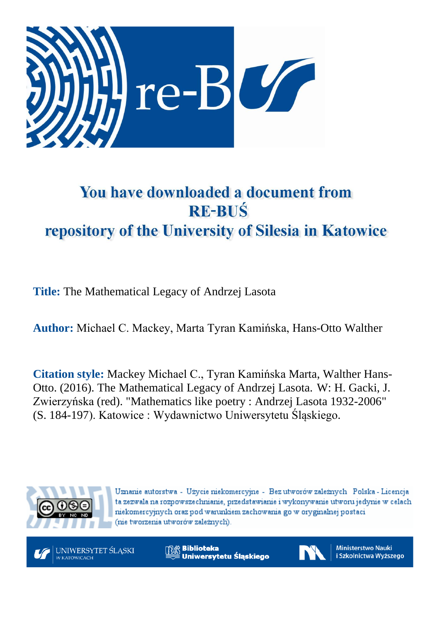

# You have downloaded a document from **RE-BUŚ** repository of the University of Silesia in Katowice

**Title:** The Mathematical Legacy of Andrzej Lasota

**Author:** Michael C. Mackey, Marta Tyran Kamińska, Hans-Otto Walther

**Citation style:** Mackey Michael C., Tyran Kamińska Marta, Walther Hans-Otto. (2016). The Mathematical Legacy of Andrzej Lasota. W: H. Gacki, J. [Zwierzyńska](http://katalog.nukat.edu.pl/search/query?match_1=PHRASE&field_1=at&term_1=Zwierzy%C5%84ska,+Joanna.&theme=nukat) (red). "Mathematics like poetry : Andrzej Lasota 1932-2006" (S. 184-197). Katowice : Wydawnictwo Uniwersytetu Śląskiego.



Uznanie autorstwa - Użycie niekomercyjne - Bez utworów zależnych Polska - Licencja ta zezwala na rozpowszechnianie, przedstawianie i wykonywanie utworu jedynie w celach niekomercyjnych oraz pod warunkiem zachowania go w oryginalnej postaci (nie tworzenia utworów zależnych).



**Biblioteka** Uniwersytetu Śląskiego



**Ministerstwo Nauki** i Szkolnictwa Wyższego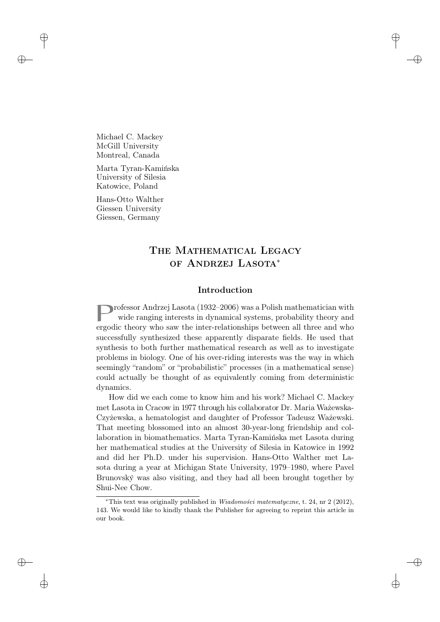Michael C. Mackey McGill University Montreal, Canada

Marta Tyran-Kamińska University of Silesia Katowice, Poland

Hans-Otto Walther Giessen University Giessen, Germany

# THE MATHEMATICAL LEGACY of Andrzej Lasota<sup>∗</sup>

# Introduction

**p**rofessor Andrzej Lasota (1932–2006) was a Polish mathematician with wide ranging interests in dynamical systems, probability theory and wide ranging interests in dynamical systems, probability theory and ergodic theory who saw the inter-relationships between all three and who successfully synthesized these apparently disparate fields. He used that synthesis to both further mathematical research as well as to investigate problems in biology. One of his over-riding interests was the way in which seemingly "random" or "probabilistic" processes (in a mathematical sense) could actually be thought of as equivalently coming from deterministic dynamics.

How did we each come to know him and his work? Michael C. Mackey met Lasota in Cracow in 1977 through his collaborator Dr. Maria Ważewska-Czyżewska, a hematologist and daughter of Professor Tadeusz Ważewski. That meeting blossomed into an almost 30-year-long friendship and collaboration in biomathematics. Marta Tyran-Kamińska met Lasota during her mathematical studies at the University of Silesia in Katowice in 1992 and did her Ph.D. under his supervision. Hans-Otto Walther met Lasota during a year at Michigan State University, 1979–1980, where Pavel Brunovský was also visiting, and they had all been brought together by Shui-Nee Chow.

<sup>\*</sup>This text was originally published in *Wiadomości matematyczne*, t. 24, nr 2 (2012), 143. We would like to kindly thank the Publisher for agreeing to reprint this article in our book.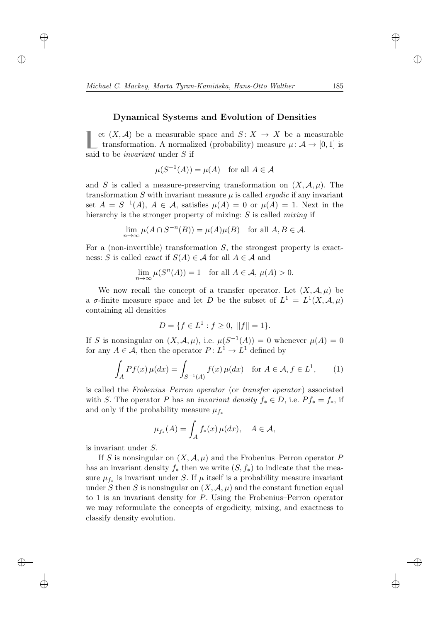#### Dynamical Systems and Evolution of Densities

L et (*X*, *A*) be a measurable space and *S*: *X* → *X* be a measurable transformation. A normalized (probability) measure  $μ$ :  $A$  → [0, 1] is et  $(X, \mathcal{A})$  be a measurable space and  $S: X \to X$  be a measurable said to be invariant under S if

$$
\mu(S^{-1}(A)) = \mu(A) \quad \text{for all } A \in \mathcal{A}
$$

and S is called a measure-preserving transformation on  $(X, \mathcal{A}, \mu)$ . The transformation S with invariant measure  $\mu$  is called *ergodic* if any invariant set  $A = S^{-1}(A)$ ,  $A \in \mathcal{A}$ , satisfies  $\mu(A) = 0$  or  $\mu(A) = 1$ . Next in the hierarchy is the stronger property of mixing: S is called *mixing* if

$$
\lim_{n \to \infty} \mu(A \cap S^{-n}(B)) = \mu(A)\mu(B) \text{ for all } A, B \in \mathcal{A}.
$$

For a (non-invertible) transformation  $S$ , the strongest property is exactness: S is called *exact* if  $S(A) \in \mathcal{A}$  for all  $A \in \mathcal{A}$  and

$$
\lim_{n \to \infty} \mu(S^n(A)) = 1 \quad \text{for all } A \in \mathcal{A}, \, \mu(A) > 0.
$$

We now recall the concept of a transfer operator. Let  $(X, \mathcal{A}, \mu)$  be a  $\sigma$ -finite measure space and let D be the subset of  $L^1 = L^1(X, \mathcal{A}, \mu)$ containing all densities

$$
D = \{ f \in L^1 : f \ge 0, ||f|| = 1 \}.
$$

If S is nonsingular on  $(X, \mathcal{A}, \mu)$ , i.e.  $\mu(S^{-1}(A)) = 0$  whenever  $\mu(A) = 0$ for any  $A \in \mathcal{A}$ , then the operator  $P: L^1 \to L^1$  defined by

$$
\int_{A} Pf(x) \,\mu(dx) = \int_{S^{-1}(A)} f(x) \,\mu(dx) \quad \text{for } A \in \mathcal{A}, f \in L^{1}, \qquad (1)
$$

is called the Frobenius–Perron operator (or transfer operator) associated with S. The operator P has an *invariant density*  $f_* \in D$ , i.e.  $P f_* = f_*$ , if and only if the probability measure  $\mu_{f^*}$ 

$$
\mu_{f_*}(A) = \int_A f_*(x) \, \mu(dx), \quad A \in \mathcal{A},
$$

is invariant under S.

If S is nonsingular on  $(X, \mathcal{A}, \mu)$  and the Frobenius–Perron operator P has an invariant density  $f_*$  then we write  $(S, f_*)$  to indicate that the measure  $\mu_{f_*}$  is invariant under S. If  $\mu$  itself is a probability measure invariant under S then S is nonsingular on  $(X, \mathcal{A}, \mu)$  and the constant function equal to 1 is an invariant density for P. Using the Frobenius–Perron operator we may reformulate the concepts of ergodicity, mixing, and exactness to classify density evolution.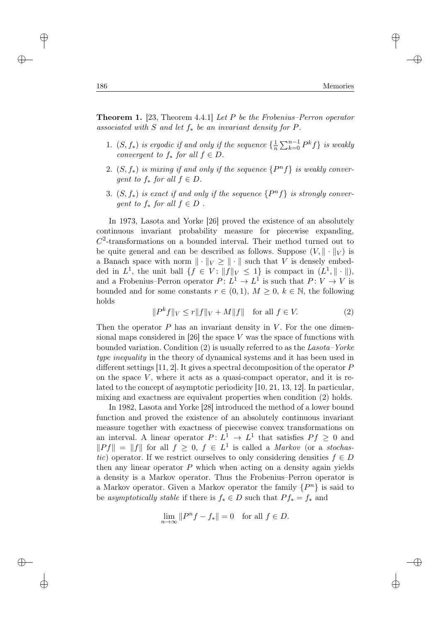**Theorem 1.** [23, Theorem 4.4.1] Let  $P$  be the Frobenius–Perron operator associated with S and let  $f_*$  be an invariant density for P.

- 1.  $(S, f_*)$  is ergodic if and only if the sequence  $\{\frac{1}{n}\}$  $\frac{1}{n}\sum_{k=0}^{n-1} P^k f$  *is weakly* convergent to  $f_*$  for all  $f \in D$ .
- 2.  $(S, f_*)$  is mixing if and only if the sequence  $\{P^n f\}$  is weakly convergent to  $f_*$  for all  $f \in D$ .
- 3.  $(S, f_*)$  is exact if and only if the sequence  $\{P^n f\}$  is strongly conver*gent to*  $f_*$  *for all*  $f \in D$ .

In 1973, Lasota and Yorke [26] proved the existence of an absolutely continuous invariant probability measure for piecewise expanding,  $C<sup>2</sup>$ -transformations on a bounded interval. Their method turned out to be quite general and can be described as follows. Suppose  $(V, \|\cdot\|_V)$  is a Banach space with norm  $\|\cdot\|_V \geq \|\cdot\|$  such that V is densely embedded in  $L^1$ , the unit ball  $\{f \in V : ||f||_V \leq 1\}$  is compact in  $(L^1, ||\cdot||)$ , and a Frobenius–Perron operator  $P: L^1 \to L^1$  is such that  $P: V \to V$  is bounded and for some constants  $r \in (0,1)$ ,  $M \geq 0$ ,  $k \in \mathbb{N}$ , the following holds

$$
||P^k f||_V \le r||f||_V + M||f|| \text{ for all } f \in V. \tag{2}
$$

Then the operator  $P$  has an invariant density in  $V$ . For the one dimensional maps considered in [26] the space V was the space of functions with bounded variation. Condition  $(2)$  is usually referred to as the Lasota–Yorke type inequality in the theory of dynamical systems and it has been used in different settings [11, 2]. It gives a spectral decomposition of the operator  $P$ on the space  $V$ , where it acts as a quasi-compact operator, and it is related to the concept of asymptotic periodicity [10, 21, 13, 12]. In particular, mixing and exactness are equivalent properties when condition (2) holds.

In 1982, Lasota and Yorke [28] introduced the method of a lower bound function and proved the existence of an absolutely continuous invariant measure together with exactness of piecewise convex transformations on an interval. A linear operator  $P: L^1 \to L^1$  that satisfies  $Pf \geq 0$  and  $||Pf|| = ||f||$  for all  $f \geq 0$ ,  $f \in L<sup>1</sup>$  is called a *Markov* (or a *stochas*tic) operator. If we restrict ourselves to only considering densities  $f \in D$ then any linear operator  $P$  which when acting on a density again yields a density is a Markov operator. Thus the Frobenius–Perron operator is a Markov operator. Given a Markov operator the family  $\{P^n\}$  is said to be asymptotically stable if there is  $f_* \in D$  such that  $P f_* = f_*$  and

$$
\lim_{n \to \infty} ||P^n f - f_*|| = 0 \text{ for all } f \in D.
$$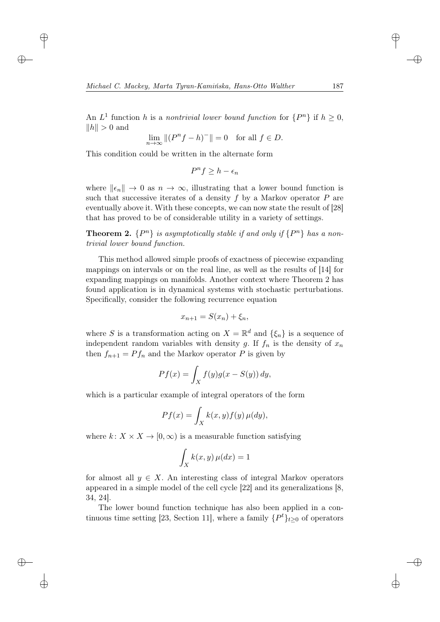An  $L^1$  function h is a nontrivial lower bound function for  $\{P^n\}$  if  $h \geq 0$ ,  $\|h\| > 0$  and

$$
\lim_{n \to \infty} \|(P^n f - h)^-\| = 0 \quad \text{for all } f \in D.
$$

This condition could be written in the alternate form

$$
P^n f \ge h - \epsilon_n
$$

where  $\|\epsilon_n\| \to 0$  as  $n \to \infty$ , illustrating that a lower bound function is such that successive iterates of a density  $f$  by a Markov operator  $P$  are eventually above it. With these concepts, we can now state the result of [28] that has proved to be of considerable utility in a variety of settings.

**Theorem 2.**  $\{P^n\}$  is asymptotically stable if and only if  $\{P^n\}$  has a nontrivial lower bound function.

This method allowed simple proofs of exactness of piecewise expanding mappings on intervals or on the real line, as well as the results of [14] for expanding mappings on manifolds. Another context where Theorem 2 has found application is in dynamical systems with stochastic perturbations. Specifically, consider the following recurrence equation

$$
x_{n+1} = S(x_n) + \xi_n,
$$

where S is a transformation acting on  $X = \mathbb{R}^d$  and  $\{\xi_n\}$  is a sequence of independent random variables with density g. If  $f_n$  is the density of  $x_n$ then  $f_{n+1} = Pf_n$  and the Markov operator P is given by

$$
Pf(x) = \int_X f(y)g(x - S(y)) dy,
$$

which is a particular example of integral operators of the form

$$
Pf(x) = \int_X k(x, y) f(y) \,\mu(dy),
$$

where  $k: X \times X \to [0, \infty)$  is a measurable function satisfying

$$
\int_X k(x, y) \,\mu(dx) = 1
$$

for almost all  $y \in X$ . An interesting class of integral Markov operators appeared in a simple model of the cell cycle [22] and its generalizations [8, 34, 24].

The lower bound function technique has also been applied in a continuous time setting [23, Section 11], where a family  $\{P^t\}_{t\geq 0}$  of operators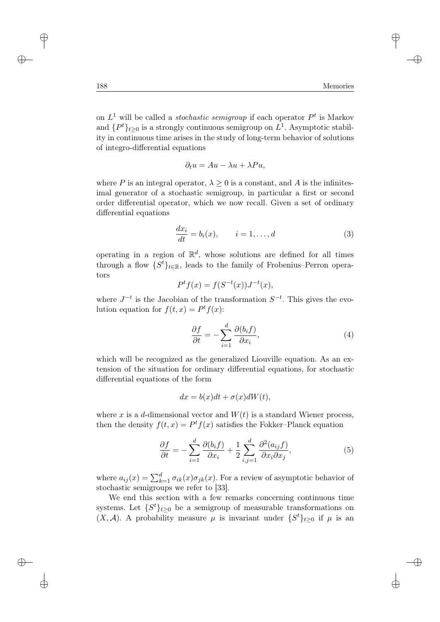on  $L^1$  will be called a *stochastic semigroup* if each operator  $P^t$  is Markov and  $\{P^t\}_{t\geq 0}$  is a strongly continuous semigroup on  $L^1$ . Asymptotic stability in continuous time arises in the study of long-term behavior of solutions of integro-differential equations

$$
\partial_t u = Au - \lambda u + \lambda Pu,
$$

where P is an integral operator,  $\lambda \geq 0$  is a constant, and A is the infinitesimal generator of a stochastic semigroup, in particular a first or second order differential operator, which we now recall. Given a set of ordinary differential equations

$$
\frac{dx_i}{dt} = b_i(x), \qquad i = 1, \dots, d
$$
\n(3)

operating in a region of  $\mathbb{R}^d$ , whose solutions are defined for all times through a flow  $\{S^t\}_{t\in\mathbb{R}}$ , leads to the family of Frobenius–Perron operators

$$
Pt f(x) = f(S-t(x))J-t(x),
$$

where  $J^{-t}$  is the Jacobian of the transformation  $S^{-t}$ . This gives the evolution equation for  $f(t, x) = P^t f(x)$ :

$$
\frac{\partial f}{\partial t} = -\sum_{i=1}^{d} \frac{\partial (b_i f)}{\partial x_i},\tag{4}
$$

which will be recognized as the generalized Liouville equation. As an extension of the situation for ordinary differential equations, for stochastic differential equations of the form

$$
dx = b(x)dt + \sigma(x)dW(t),
$$

where x is a d-dimensional vector and  $W(t)$  is a standard Wiener process, then the density  $f(t, x) = P^t f(x)$  satisfies the Fokker-Planck equation

$$
\frac{\partial f}{\partial t} = -\sum_{i=1}^{d} \frac{\partial (b_i f)}{\partial x_i} + \frac{1}{2} \sum_{i,j=1}^{d} \frac{\partial^2 (a_{ij} f)}{\partial x_i \partial x_j},\tag{5}
$$

where  $a_{ij}(x) = \sum_{k=1}^{d} \sigma_{ik}(x) \sigma_{jk}(x)$ . For a review of asymptotic behavior of stochastic semigroups we refer to [33].

We end this section with a few remarks concerning continuous time systems. Let  $\{S^t\}_{t\geq 0}$  be a semigroup of measurable transformations on  $(X, \mathcal{A})$ . A probability measure  $\mu$  is invariant under  $\{S^t\}_{t\geq 0}$  if  $\mu$  is an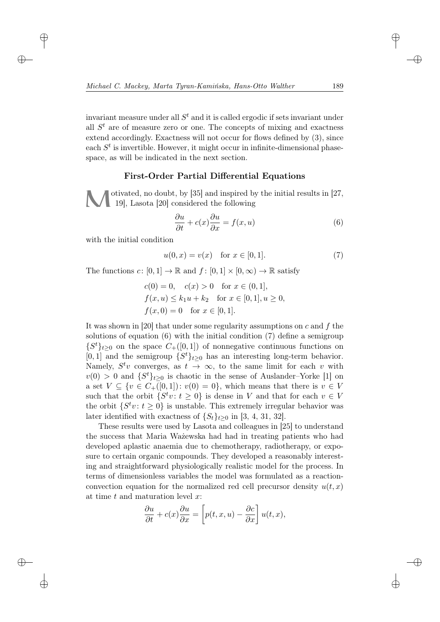invariant measure under all  $S<sup>t</sup>$  and it is called ergodic if sets invariant under all  $S<sup>t</sup>$  are of measure zero or one. The concepts of mixing and exactness extend accordingly. Exactness will not occur for flows defined by (3), since each  $S<sup>t</sup>$  is invertible. However, it might occur in infinite-dimensional phasespace, as will be indicated in the next section.

# First-Order Partial Differential Equations

otivated, no doubt, by  $[35]$  and inspired by the initial results in  $[27, 1]$ 19], Lasota [20] considered the following

$$
\frac{\partial u}{\partial t} + c(x)\frac{\partial u}{\partial x} = f(x, u)
$$
\n(6)

with the initial condition

$$
u(0, x) = v(x) \quad \text{for } x \in [0, 1].
$$
 (7)

The functions  $c: [0,1] \to \mathbb{R}$  and  $f: [0,1] \times [0,\infty) \to \mathbb{R}$  satisfy

$$
c(0) = 0, \quad c(x) > 0 \quad \text{for } x \in (0, 1],
$$
  

$$
f(x, u) \le k_1 u + k_2 \quad \text{for } x \in [0, 1], u \ge 0,
$$
  

$$
f(x, 0) = 0 \quad \text{for } x \in [0, 1].
$$

It was shown in [20] that under some regularity assumptions on  $c$  and  $f$  the solutions of equation (6) with the initial condition (7) define a semigroup  $\{S^t\}_{t\geq 0}$  on the space  $C_+([0,1])$  of nonnegative continuous functions on [0, 1] and the semigroup  $\{S^t\}_{t\geq 0}$  has an interesting long-term behavior. Namely,  $S^t v$  converges, as  $t \to \infty$ , to the same limit for each v with  $v(0) > 0$  and  $\{S^t\}_{t\geq 0}$  is chaotic in the sense of Auslander–Yorke [1] on a set  $V \subseteq \{v \in C_+([0,1]) : v(0) = 0\}$ , which means that there is  $v \in V$ such that the orbit  $\{S^t v : t \geq 0\}$  is dense in V and that for each  $v \in V$ the orbit  $\{S^t v : t \geq 0\}$  is unstable. This extremely irregular behavior was later identified with exactness of  $\{S_t\}_{t>0}$  in [3, 4, 31, 32].

These results were used by Lasota and colleagues in [25] to understand the success that Maria Ważewska had had in treating patients who had developed aplastic anaemia due to chemotherapy, radiotherapy, or exposure to certain organic compounds. They developed a reasonably interesting and straightforward physiologically realistic model for the process. In terms of dimensionless variables the model was formulated as a reactionconvection equation for the normalized red cell precursor density  $u(t, x)$ at time  $t$  and maturation level  $x$ :

$$
\frac{\partial u}{\partial t} + c(x)\frac{\partial u}{\partial x} = \left[p(t, x, u) - \frac{\partial c}{\partial x}\right]u(t, x),
$$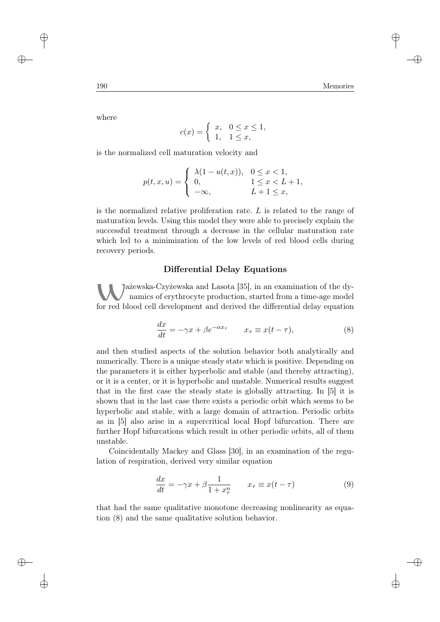where

$$
c(x) = \begin{cases} x, & 0 \le x \le 1, \\ 1, & 1 \le x, \end{cases}
$$

is the normalized cell maturation velocity and

$$
p(t, x, u) = \begin{cases} \lambda(1 - u(t, x)), & 0 \le x < 1, \\ 0, & 1 \le x < L + 1, \\ -\infty, & L + 1 \le x, \end{cases}
$$

is the normalized relative proliferation rate. L is related to the range of maturation levels. Using this model they were able to precisely explain the successful treatment through a decrease in the cellular maturation rate which led to a minimization of the low levels of red blood cells during recovery periods.

#### Differential Delay Equations

Jażewska-Czyżewska and Lasota [35], in an examination of the dynamics of erythrocyte production, started from a time-age model for red blood cell development and derived the differential delay equation

$$
\frac{dx}{dt} = -\gamma x + \beta e^{-\alpha x_{\tau}} \qquad x_{\tau} \equiv x(t - \tau), \tag{8}
$$

and then studied aspects of the solution behavior both analytically and numerically. There is a unique steady state which is positive. Depending on the parameters it is either hyperbolic and stable (and thereby attracting), or it is a center, or it is hyperbolic and unstable. Numerical results suggest that in the first case the steady state is globally attracting. In [5] it is shown that in the last case there exists a periodic orbit which seems to be hyperbolic and stable, with a large domain of attraction. Periodic orbits as in [5] also arise in a supercritical local Hopf bifurcation. There are further Hopf bifurcations which result in other periodic orbits, all of them unstable.

Coincidentally Mackey and Glass [30], in an examination of the regulation of respiration, derived very similar equation

$$
\frac{dx}{dt} = -\gamma x + \beta \frac{1}{1 + x_{\tau}^n} \qquad x_{\tau} \equiv x(t - \tau) \tag{9}
$$

that had the same qualitative monotone decreasing nonlinearity as equation (8) and the same qualitative solution behavior.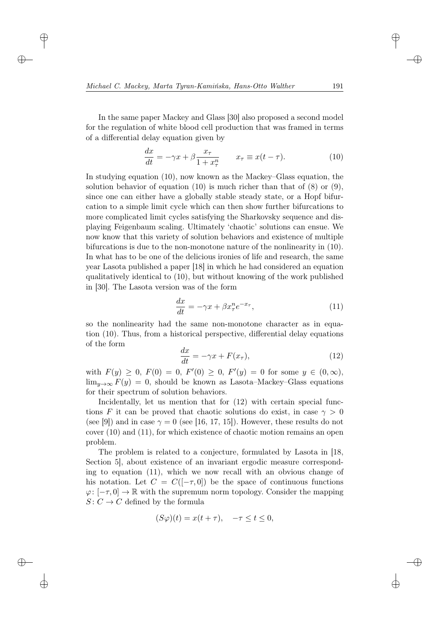In the same paper Mackey and Glass [30] also proposed a second model for the regulation of white blood cell production that was framed in terms of a differential delay equation given by

$$
\frac{dx}{dt} = -\gamma x + \beta \frac{x_{\tau}}{1 + x_{\tau}^{n}} \qquad x_{\tau} \equiv x(t - \tau). \tag{10}
$$

In studying equation (10), now known as the Mackey–Glass equation, the solution behavior of equation (10) is much richer than that of  $(8)$  or  $(9)$ , since one can either have a globally stable steady state, or a Hopf bifurcation to a simple limit cycle which can then show further bifurcations to more complicated limit cycles satisfying the Sharkovsky sequence and displaying Feigenbaum scaling. Ultimately 'chaotic' solutions can ensue. We now know that this variety of solution behaviors and existence of multiple bifurcations is due to the non-monotone nature of the nonlinearity in (10). In what has to be one of the delicious ironies of life and research, the same year Lasota published a paper [18] in which he had considered an equation qualitatively identical to (10), but without knowing of the work published in [30]. The Lasota version was of the form

$$
\frac{dx}{dt} = -\gamma x + \beta x_{\tau}^{n} e^{-x_{\tau}},\tag{11}
$$

so the nonlinearity had the same non-monotone character as in equation (10). Thus, from a historical perspective, differential delay equations of the form

$$
\frac{dx}{dt} = -\gamma x + F(x_{\tau}),\tag{12}
$$

with  $F(y) \geq 0$ ,  $F(0) = 0$ ,  $F'(0) \geq 0$ ,  $F'(y) = 0$  for some  $y \in (0, \infty)$ ,  $\lim_{y\to\infty} F(y) = 0$ , should be known as Lasota–Mackey–Glass equations for their spectrum of solution behaviors.

Incidentally, let us mention that for  $(12)$  with certain special functions F it can be proved that chaotic solutions do exist, in case  $\gamma > 0$ (see [9]) and in case  $\gamma = 0$  (see [16, 17, 15]). However, these results do not cover (10) and (11), for which existence of chaotic motion remains an open problem.

The problem is related to a conjecture, formulated by Lasota in [18, Section 5], about existence of an invariant ergodic measure corresponding to equation (11), which we now recall with an obvious change of his notation. Let  $C = C([-τ, 0])$  be the space of continuous functions  $\varphi: [-\tau, 0] \to \mathbb{R}$  with the supremum norm topology. Consider the mapping  $S: C \to C$  defined by the formula

$$
(S\varphi)(t) = x(t+\tau), \quad -\tau \le t \le 0,
$$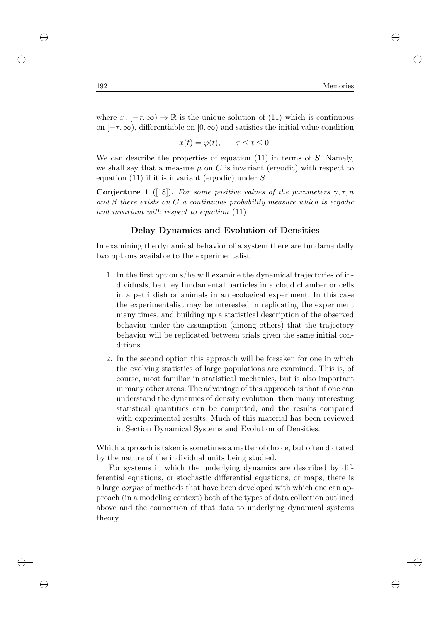where  $x: [-\tau, \infty) \to \mathbb{R}$  is the unique solution of (11) which is continuous on  $[-\tau, \infty)$ , differentiable on  $[0, \infty)$  and satisfies the initial value condition

$$
x(t) = \varphi(t), \quad -\tau \le t \le 0.
$$

We can describe the properties of equation  $(11)$  in terms of S. Namely, we shall say that a measure  $\mu$  on C is invariant (ergodic) with respect to equation  $(11)$  if it is invariant (ergodic) under S.

**Conjecture 1** ([18]). For some positive values of the parameters  $\gamma, \tau, n$ and  $\beta$  there exists on C a continuous probability measure which is ergodic and invariant with respect to equation (11).

# Delay Dynamics and Evolution of Densities

In examining the dynamical behavior of a system there are fundamentally two options available to the experimentalist.

- 1. In the first option s/he will examine the dynamical trajectories of individuals, be they fundamental particles in a cloud chamber or cells in a petri dish or animals in an ecological experiment. In this case the experimentalist may be interested in replicating the experiment many times, and building up a statistical description of the observed behavior under the assumption (among others) that the trajectory behavior will be replicated between trials given the same initial conditions.
- 2. In the second option this approach will be forsaken for one in which the evolving statistics of large populations are examined. This is, of course, most familiar in statistical mechanics, but is also important in many other areas. The advantage of this approach is that if one can understand the dynamics of density evolution, then many interesting statistical quantities can be computed, and the results compared with experimental results. Much of this material has been reviewed in Section Dynamical Systems and Evolution of Densities.

Which approach is taken is sometimes a matter of choice, but often dictated by the nature of the individual units being studied.

For systems in which the underlying dynamics are described by differential equations, or stochastic differential equations, or maps, there is a large *corpus* of methods that have been developed with which one can approach (in a modeling context) both of the types of data collection outlined above and the connection of that data to underlying dynamical systems theory.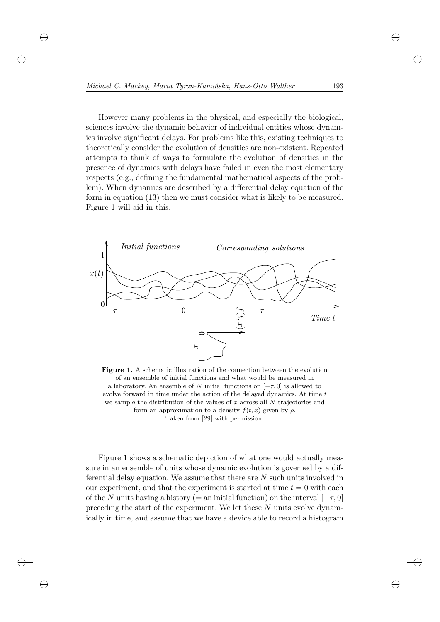However many problems in the physical, and especially the biological, sciences involve the dynamic behavior of individual entities whose dynamics involve significant delays. For problems like this, existing techniques to theoretically consider the evolution of densities are non-existent. Repeated attempts to think of ways to formulate the evolution of densities in the presence of dynamics with delays have failed in even the most elementary respects (e.g., defining the fundamental mathematical aspects of the problem). When dynamics are described by a differential delay equation of the form in equation (13) then we must consider what is likely to be measured. Figure 1 will aid in this.



Figure 1. A schematic illustration of the connection between the evolution of an ensemble of initial functions and what would be measured in a laboratory. An ensemble of N initial functions on  $[-\tau, 0]$  is allowed to evolve forward in time under the action of the delayed dynamics. At time  $t$ we sample the distribution of the values of  $x$  across all  $N$  trajectories and form an approximation to a density  $f(t, x)$  given by  $\rho$ . Taken from [29] with permission.

Figure 1 shows a schematic depiction of what one would actually measure in an ensemble of units whose dynamic evolution is governed by a differential delay equation. We assume that there are N such units involved in our experiment, and that the experiment is started at time  $t = 0$  with each of the N units having a history (= an initial function) on the interval  $[-\tau, 0]$ preceding the start of the experiment. We let these N units evolve dynamically in time, and assume that we have a device able to record a histogram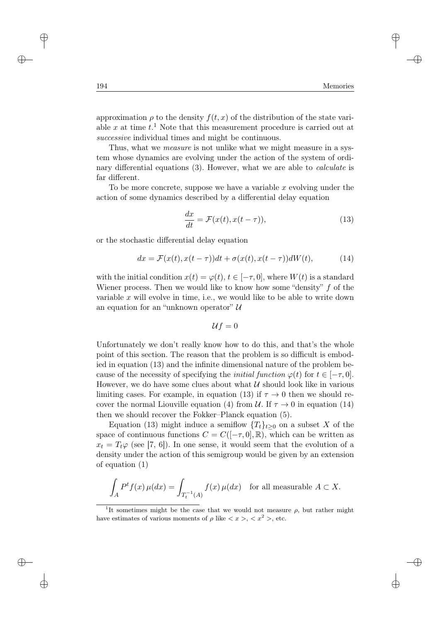approximation  $\rho$  to the density  $f(t, x)$  of the distribution of the state variable x at time  $t<sup>1</sup>$ . Note that this measurement procedure is carried out at successive individual times and might be continuous.

Thus, what we *measure* is not unlike what we might measure in a system whose dynamics are evolving under the action of the system of ordinary differential equations (3). However, what we are able to *calculate* is far different.

To be more concrete, suppose we have a variable x evolving under the action of some dynamics described by a differential delay equation

$$
\frac{dx}{dt} = \mathcal{F}(x(t), x(t-\tau)),\tag{13}
$$

or the stochastic differential delay equation

$$
dx = \mathcal{F}(x(t), x(t-\tau))dt + \sigma(x(t), x(t-\tau))dW(t), \qquad (14)
$$

with the initial condition  $x(t) = \varphi(t), t \in [-\tau, 0]$ , where  $W(t)$  is a standard Wiener process. Then we would like to know how some "density"  $f$  of the variable x will evolve in time, i.e., we would like to be able to write down an equation for an "unknown operator"  $\mathcal{U}$ 

$$
\mathcal{U}f=0
$$

Unfortunately we don't really know how to do this, and that's the whole point of this section. The reason that the problem is so difficult is embodied in equation (13) and the infinite dimensional nature of the problem because of the necessity of specifying the *initial function*  $\varphi(t)$  for  $t \in [-\tau, 0]$ . However, we do have some clues about what  $\mathcal U$  should look like in various limiting cases. For example, in equation (13) if  $\tau \to 0$  then we should recover the normal Liouville equation (4) from U. If  $\tau \to 0$  in equation (14) then we should recover the Fokker–Planck equation (5).

Equation (13) might induce a semiflow  ${T_t}_{t\geq 0}$  on a subset X of the space of continuous functions  $C = C([- \tau, 0], \mathbb{R})$ , which can be written as  $x_t = T_t \varphi$  (see [7, 6]). In one sense, it would seem that the evolution of a density under the action of this semigroup would be given by an extension of equation (1)

$$
\int_A P^t f(x) \,\mu(dx) = \int_{T_t^{-1}(A)} f(x) \,\mu(dx) \quad \text{for all measurable } A \subset X.
$$

<sup>&</sup>lt;sup>1</sup>It sometimes might be the case that we would not measure  $\rho$ , but rather might have estimates of various moments of  $\rho$  like  $\langle x \rangle, \langle x^2 \rangle$ , etc.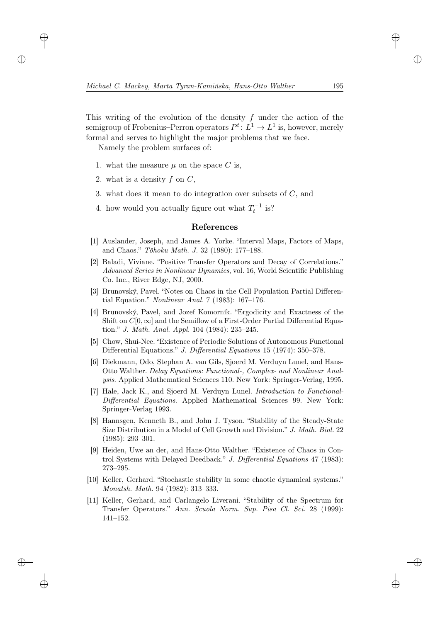This writing of the evolution of the density  $f$  under the action of the semigroup of Frobenius–Perron operators  $P^t: L^1 \to L^1$  is, however, merely formal and serves to highlight the major problems that we face.

Namely the problem surfaces of:

- 1. what the measure  $\mu$  on the space C is,
- 2. what is a density  $f$  on  $C$ .
- 3. what does it mean to do integration over subsets of  $C$ , and
- 4. how would you actually figure out what  $T_t^{-1}$  is?

#### References

- [1] Auslander, Joseph, and James A. Yorke. "Interval Maps, Factors of Maps, and Chaos." Tôhoku Math. J. 32 (1980): 177–188.
- [2] Baladi, Viviane. "Positive Transfer Operators and Decay of Correlations." Advanced Series in Nonlinear Dynamics, vol. 16, World Scientific Publishing Co. Inc., River Edge, NJ, 2000.
- [3] Brunovský, Pavel. "Notes on Chaos in the Cell Population Partial Differential Equation." Nonlinear Anal. 7 (1983): 167–176.
- [4] Brunovský, Pavel, and Jozef Komorník. "Ergodicity and Exactness of the Shift on  $C[0,\infty]$  and the Semiflow of a First-Order Partial Differential Equation." J. Math. Anal. Appl. 104 (1984): 235–245.
- [5] Chow, Shui-Nee. "Existence of Periodic Solutions of Autonomous Functional Differential Equations." J. Differential Equations 15 (1974): 350–378.
- [6] Diekmann, Odo, Stephan A. van Gils, Sjoerd M. Verduyn Lunel, and Hans-Otto Walther. Delay Equations: Functional-, Complex- and Nonlinear Analysis. Applied Mathematical Sciences 110. New York: Springer-Verlag, 1995.
- [7] Hale, Jack K., and Sjoerd M. Verduyn Lunel. Introduction to Functional-Differential Equations. Applied Mathematical Sciences 99. New York: Springer-Verlag 1993.
- [8] Hannsgen, Kenneth B., and John J. Tyson. "Stability of the Steady-State Size Distribution in a Model of Cell Growth and Division." J. Math. Biol. 22 (1985): 293–301.
- [9] Heiden, Uwe an der, and Hans-Otto Walther. "Existence of Chaos in Control Systems with Delayed Deedback." J. Differential Equations 47 (1983): 273–295.
- [10] Keller, Gerhard. "Stochastic stability in some chaotic dynamical systems." Monatsh. Math. 94 (1982): 313–333.
- [11] Keller, Gerhard, and Carlangelo Liverani. "Stability of the Spectrum for Transfer Operators." Ann. Scuola Norm. Sup. Pisa Cl. Sci. 28 (1999): 141–152.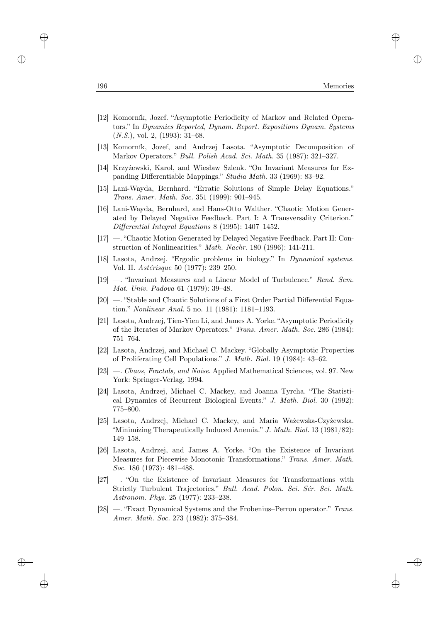- [12] Komorník, Jozef. "Asymptotic Periodicity of Markov and Related Operators." In Dynamics Reported, Dynam. Report. Expositions Dynam. Systems  $(N.S.),$  vol. 2,  $(1993):$  31–68.
- [13] Komorník, Jozef, and Andrzej Lasota. "Asymptotic Decomposition of Markov Operators." Bull. Polish Acad. Sci. Math. 35 (1987): 321–327.
- [14] Krzyżewski, Karol, and Wiesław Szlenk. "On Invariant Measures for Expanding Differentiable Mappings." Studia Math. 33 (1969): 83–92.
- [15] Lani-Wayda, Bernhard. "Erratic Solutions of Simple Delay Equations." Trans. Amer. Math. Soc. 351 (1999): 901–945.
- [16] Lani-Wayda, Bernhard, and Hans-Otto Walther. "Chaotic Motion Generated by Delayed Negative Feedback. Part I: A Transversality Criterion." Differential Integral Equations 8 (1995): 1407–1452.
- [17] —. "Chaotic Motion Generated by Delayed Negative Feedback. Part II: Construction of Nonlinearities." Math. Nachr. 180 (1996): 141-211.
- [18] Lasota, Andrzej. "Ergodic problems in biology." In Dynamical systems. Vol. II. Astérisque 50 (1977): 239–250.
- [19] —. "Invariant Measures and a Linear Model of Turbulence." Rend. Sem. Mat. Univ. Padova 61 (1979): 39–48.
- [20] —. "Stable and Chaotic Solutions of a First Order Partial Differential Equation." Nonlinear Anal. 5 no. 11 (1981): 1181–1193.
- [21] Lasota, Andrzej, Tien-Yien Li, and James A. Yorke. "Asymptotic Periodicity of the Iterates of Markov Operators." Trans. Amer. Math. Soc. 286 (1984): 751–764.
- [22] Lasota, Andrzej, and Michael C. Mackey. "Globally Asymptotic Properties of Proliferating Cell Populations." J. Math. Biol. 19 (1984): 43–62.
- [23] —. Chaos, Fractals, and Noise. Applied Mathematical Sciences, vol. 97. New York: Springer-Verlag, 1994.
- [24] Lasota, Andrzej, Michael C. Mackey, and Joanna Tyrcha. "The Statistical Dynamics of Recurrent Biological Events." J. Math. Biol. 30 (1992): 775–800.
- [25] Lasota, Andrzej, Michael C. Mackey, and Maria Ważewska-Czyżewska. "Minimizing Therapeutically Induced Anemia." J. Math. Biol.  $13$  (1981/82): 149–158.
- [26] Lasota, Andrzej, and James A. Yorke. "On the Existence of Invariant Measures for Piecewise Monotonic Transformations." Trans. Amer. Math. Soc. 186 (1973): 481–488.
- [27] —. "On the Existence of Invariant Measures for Transformations with Strictly Turbulent Trajectories." Bull. Acad. Polon. Sci. Sér. Sci. Math. Astronom. Phys. 25 (1977): 233–238.
- [28] —. "Exact Dynamical Systems and the Frobenius–Perron operator." Trans. Amer. Math. Soc. 273 (1982): 375–384.